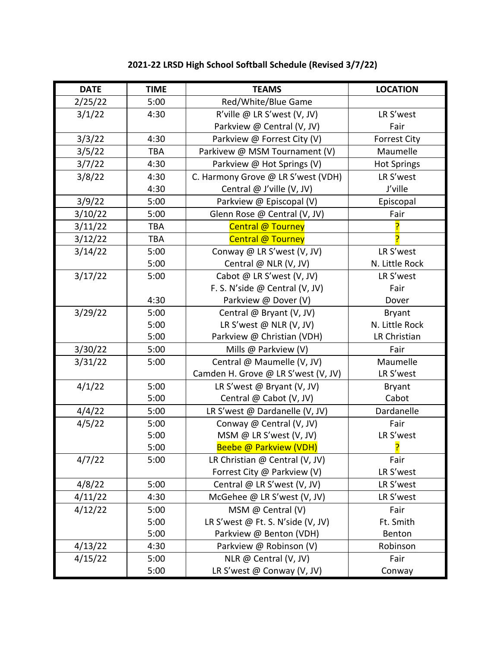| <b>DATE</b> | <b>TIME</b> | <b>TEAMS</b>                        | <b>LOCATION</b>     |
|-------------|-------------|-------------------------------------|---------------------|
| 2/25/22     | 5:00        | Red/White/Blue Game                 |                     |
| 3/1/22      | 4:30        | R'ville @ LR S'west (V, JV)         | LR S'west           |
|             |             | Parkview @ Central (V, JV)          | Fair                |
| 3/3/22      | 4:30        | Parkview @ Forrest City (V)         | <b>Forrest City</b> |
| 3/5/22      | <b>TBA</b>  | Parkivew @ MSM Tournament (V)       | Maumelle            |
| 3/7/22      | 4:30        | Parkview @ Hot Springs (V)          | <b>Hot Springs</b>  |
| 3/8/22      | 4:30        | C. Harmony Grove @ LR S'west (VDH)  | LR S'west           |
|             | 4:30        | Central @ J'ville (V, JV)           | J'ville             |
| 3/9/22      | 5:00        | Parkview @ Episcopal (V)            | Episcopal           |
| 3/10/22     | 5:00        | Glenn Rose @ Central (V, JV)        | Fair                |
| 3/11/22     | <b>TBA</b>  | <b>Central @ Tourney</b>            |                     |
| 3/12/22     | <b>TBA</b>  | Central @ Tourney                   |                     |
| 3/14/22     | 5:00        | Conway @ LR S'west (V, JV)          | LR S'west           |
|             | 5:00        | Central @ NLR (V, JV)               | N. Little Rock      |
| 3/17/22     | 5:00        | Cabot @ LR S'west (V, JV)           | LR S'west           |
|             |             | F. S. N'side @ Central (V, JV)      | Fair                |
|             | 4:30        | Parkview @ Dover (V)                | Dover               |
| 3/29/22     | 5:00        | Central @ Bryant (V, JV)            | <b>Bryant</b>       |
|             | 5:00        | LR S'west $@$ NLR (V, JV)           | N. Little Rock      |
|             | 5:00        | Parkview @ Christian (VDH)          | LR Christian        |
| 3/30/22     | 5:00        | Mills @ Parkview (V)                | Fair                |
| 3/31/22     | 5:00        | Central @ Maumelle (V, JV)          | Maumelle            |
|             |             | Camden H. Grove @ LR S'west (V, JV) | LR S'west           |
| 4/1/22      | 5:00        | LR S'west @ Bryant (V, JV)          | <b>Bryant</b>       |
|             | 5:00        | Central @ Cabot (V, JV)             | Cabot               |
| 4/4/22      | 5:00        | LR S'west @ Dardanelle (V, JV)      | Dardanelle          |
| 4/5/22      | 5:00        | Conway @ Central (V, JV)            | Fair                |
|             | 5:00        | MSM @ LR S'west (V, JV)             | LR S'west           |
|             | 5:00        | Beebe @ Parkview (VDH)              | <mark>?</mark>      |
| 4/7/22      | 5:00        | LR Christian @ Central (V, JV)      | Fair                |
|             |             | Forrest City @ Parkview (V)         | LR S'west           |
| 4/8/22      | 5:00        | Central @ LR S'west (V, JV)         | LR S'west           |
| 4/11/22     | 4:30        | McGehee @ LR S'west (V, JV)         | LR S'west           |
| 4/12/22     | 5:00        | MSM @ Central $(V)$                 | Fair                |
|             | 5:00        | LR S'west @ Ft. S. N'side (V, JV)   | Ft. Smith           |
|             | 5:00        | Parkview @ Benton (VDH)             | Benton              |
| 4/13/22     | 4:30        | Parkview @ Robinson (V)             | Robinson            |
| 4/15/22     | 5:00        | NLR @ Central (V, JV)               | Fair                |
|             | 5:00        | LR S'west @ Conway (V, JV)          | Conway              |

## **2021-22 LRSD High School Softball Schedule (Revised 3/7/22)**